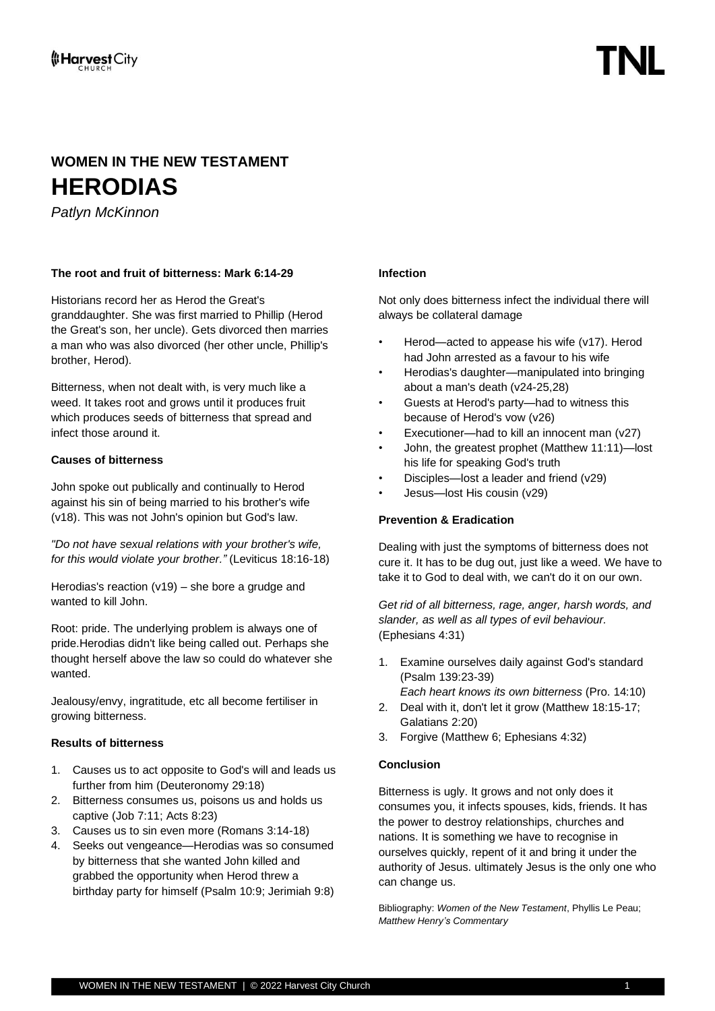## **WOMEN IN THE NEW TESTAMENT HERODIAS**

*Patlyn McKinnon*

### **The root and fruit of bitterness: Mark 6:14-29**

Historians record her as Herod the Great's granddaughter. She was first married to Phillip (Herod the Great's son, her uncle). Gets divorced then marries a man who was also divorced (her other uncle, Phillip's brother, Herod).

Bitterness, when not dealt with, is very much like a weed. It takes root and grows until it produces fruit which produces seeds of bitterness that spread and infect those around it.

#### **Causes of bitterness**

John spoke out publically and continually to Herod against his sin of being married to his brother's wife (v18). This was not John's opinion but God's law.

*"Do not have sexual relations with your brother's wife, for this would violate your brother."* (Leviticus 18:16-18)

Herodias's reaction (v19) – she bore a grudge and wanted to kill John.

Root: pride. The underlying problem is always one of pride.Herodias didn't like being called out. Perhaps she thought herself above the law so could do whatever she wanted.

Jealousy/envy, ingratitude, etc all become fertiliser in growing bitterness.

#### **Results of bitterness**

- 1. Causes us to act opposite to God's will and leads us further from him (Deuteronomy 29:18)
- 2. Bitterness consumes us, poisons us and holds us captive (Job 7:11; Acts 8:23)
- 3. Causes us to sin even more (Romans 3:14-18)
- 4. Seeks out vengeance—Herodias was so consumed by bitterness that she wanted John killed and grabbed the opportunity when Herod threw a birthday party for himself (Psalm 10:9; Jerimiah 9:8)

#### **Infection**

Not only does bitterness infect the individual there will always be collateral damage

- Herod—acted to appease his wife (v17). Herod had John arrested as a favour to his wife
- Herodias's daughter—manipulated into bringing about a man's death (v24-25,28)
- Guests at Herod's party—had to witness this because of Herod's vow (v26)
- Executioner—had to kill an innocent man (v27)
- John, the greatest prophet (Matthew 11:11)—lost his life for speaking God's truth
- Disciples—lost a leader and friend (v29)
- Jesus—lost His cousin (v29)

#### **Prevention & Eradication**

Dealing with just the symptoms of bitterness does not cure it. It has to be dug out, just like a weed. We have to take it to God to deal with, we can't do it on our own.

*Get rid of all bitterness, rage, anger, harsh words, and slander, as well as all types of evil behaviour.* (Ephesians 4:31)

- 1. Examine ourselves daily against God's standard (Psalm 139:23-39) *Each heart knows its own bitterness* (Pro. 14:10)
- 2. Deal with it, don't let it grow (Matthew 18:15-17; Galatians 2:20)
- 3. Forgive (Matthew 6; Ephesians 4:32)

#### **Conclusion**

Bitterness is ugly. It grows and not only does it consumes you, it infects spouses, kids, friends. It has the power to destroy relationships, churches and nations. It is something we have to recognise in ourselves quickly, repent of it and bring it under the authority of Jesus. ultimately Jesus is the only one who can change us.

Bibliography: *Women of the New Testament*, Phyllis Le Peau; *Matthew Henry's Commentary*